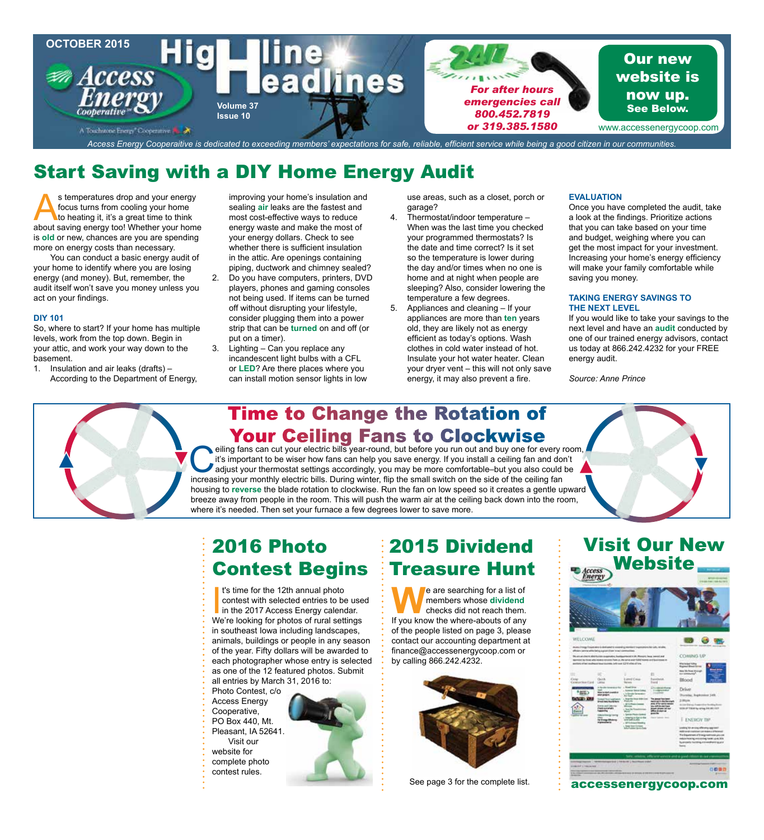

## Start Saving with a DIY Home Energy Audit

s temperatures drop and your energy focus turns from cooling your home to heating it, it's a great time to think about saving energy too! Whether your home is **old** or new, chances are you are spending more on energy costs than necessary.

You can conduct a basic energy audit of your home to identify where you are losing energy (and money). But, remember, the audit itself won't save you money unless you act on your findings.

### **DIY 101**

So, where to start? If your home has multiple levels, work from the top down. Begin in your attic, and work your way down to the basement.

1. Insulation and air leaks (drafts) – According to the Department of Energy,

improving your home's insulation and sealing **air** leaks are the fastest and most cost-effective ways to reduce energy waste and make the most of your energy dollars. Check to see whether there is sufficient insulation in the attic. Are openings containing piping, ductwork and chimney sealed? 2. Do you have computers, printers, DVD players, phones and gaming consoles not being used. If items can be turned off without disrupting your lifestyle, consider plugging them into a power strip that can be **turned** on and off (or put on a timer).

3. Lighting – Can you replace any incandescent light bulbs with a CFL or **LED**? Are there places where you can install motion sensor lights in low use areas, such as a closet, porch or garage?

- 4. Thermostat/indoor temperature When was the last time you checked your programmed thermostats? Is the date and time correct? Is it set so the temperature is lower during the day and/or times when no one is home and at night when people are sleeping? Also, consider lowering the temperature a few degrees.
- 5. Appliances and cleaning If your appliances are more than **ten** years old, they are likely not as energy efficient as today's options. Wash clothes in cold water instead of hot. Insulate your hot water heater. Clean your dryer vent – this will not only save energy, it may also prevent a fire.

### **EVALUATION**

Once you have completed the audit, take a look at the findings. Prioritize actions that you can take based on your time and budget, weighing where you can get the most impact for your investment. Increasing your home's energy efficiency will make your family comfortable while saving you money.

#### **TAKING ENERGY SAVINGS TO THE NEXT LEVEL**

If you would like to take your savings to the next level and have an **audit** conducted by one of our trained energy advisors, contact us today at 866.242.4232 for your FREE energy audit.

*Source: Anne Prince*



### **Time to Change the Rotation of Your Ceiling Fans to Clockwise**

eiling fans can cut your electric bills year-round, but before you run out and buy one for every room, it's important to be wiser how fans can help you save energy. If you install a ceiling fan and don't adjust your thermo it's important to be wiser how fans can help you save energy. If you install a ceiling fan and don't increasing your monthly electric bills. During winter, flip the small switch on the side of the ceiling fan housing to **reverse** the blade rotation to clockwise. Run the fan on low speed so it creates a gentle upward breeze away from people in the room. This will push the warm air at the ceiling back down into the room, where it's needed. Then set your furnace a few degrees lower to save more.

### 2016 Photo Contest Begins

<sup>t</sup>'s time for the 12th annual photo<br>contest with selected entries to be use<br>in the 2017 Access Energy calendar.<br>We're looking for photos of rural settings t's time for the 12th annual photo contest with selected entries to be used in the 2017 Access Energy calendar. in southeast Iowa including landscapes, animals, buildings or people in any season of the year. Fifty dollars will be awarded to each photographer whose entry is selected as one of the 12 featured photos. Submit all entries by March 31, 2016 to: Photo Contest, c/o

- Access Energy
- Cooperative,
- PO Box 440, Mt. Pleasant, IA 52641.
- Visit our
- website for
- complete photo
- 
- contest rules.



**We are searching for a list of<br>members whose dividend<br>If you know the where-abouts of any** members whose **dividend** checks did not reach them. If you know the where-abouts of any of the people listed on page 3, please contact our accounting department at finance@accessenergycoop.com or by calling 866.242.4232.



See page 3 for the complete list.

# Visit Our New Website NELCOM COMING U

accessenergycoop.com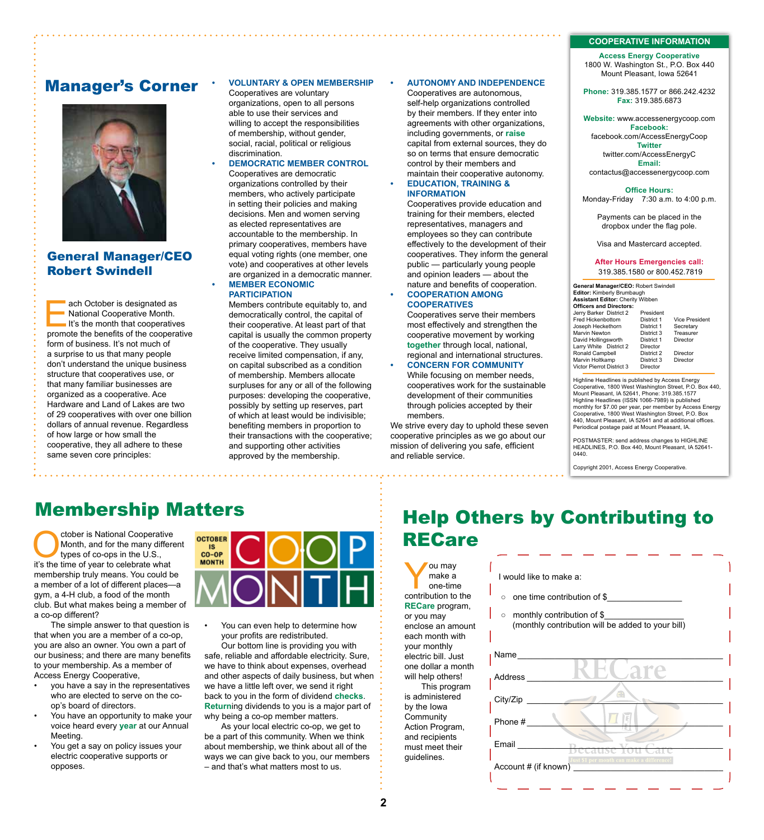#### **COOPERATIVE INFORMATION**

**Access Energy Cooperative** 1800 W. Washington St., P.O. Box 440 Mount Pleasant, Iowa 52641

**Phone:** 319.385.1577 or 866.242.4232 **Fax:** 319.385.6873

#### **Website:** www.accessenergycoop.com **Facebook:** facebook.com/AccessEnergyCoop **Twitter** twitter.com/AccessEnergyC **Email:** contactus@accessenergycoop.com

**Office Hours:** Monday-Friday7:30 a.m. to 4:00 p.m.

Payments can be placed in the dropbox under the flag pole.

Visa and Mastercard accepted.

#### **After Hours Emergencies call:** 319.385.1580 or 800.452.7819

**General Manager/CEO:** Robert Swindell **Editor:** Kimberly Brumbaugh **Assistant Editor:** Cherity Wibben **Officers and Directors:** Jerry Barker District 2 President Fred Hickenbottom District 1 Vice President<br>Joseph Heckethorn District 1 Secretary<br>Marvin Newton District 3 Treasurer Joseph Heckethorn District 1<br>Marvin Newton District 3 Marvin Newton District 3<br>
David Hollingsworth District 1 David Hollingsworth District 1 Director Larry White District 2 Director<br>Ronald Campbell District 2 Ronald Campbell District 2 Director Marvin Holtkamp District 3 Director Victor Pierrot District 3 Director

Highline Headlines is published by Access Energy Cooperative, 1800 West Washington Street, P.O. Box 440, Mount Pleasant, IA 52641, Phone: 319.385.1577 Highline Headlines (ISSN 1066-7989) is published monthly for \$7.00 per year, per member by Access Energy Cooperative, 1800 West Washington Street, P.O. Box 440, Mount Pleasant, IA 52641 and at additional offices. Periodical postage paid at Mount Pleasant, IA.

POSTMASTER: send address changes to HIGHLINE HEADLINES, P.O. Box 440, Mount Pleasant, IA 52641- 0440.

Copyright 2001, Access Energy Cooperative.

### Manager's Corner



General Manager/CEO Robert Swindell

ach October is designated as<br>
National Cooperative Month.<br>
It's the month that cooperatives<br>
nomote the benefits of the cooperative National Cooperative Month. promote the benefits of the cooperative form of business. It's not much of a surprise to us that many people don't understand the unique business structure that cooperatives use, or that many familiar businesses are organized as a cooperative. Ace Hardware and Land of Lakes are two of 29 cooperatives with over one billion dollars of annual revenue. Regardless of how large or how small the cooperative, they all adhere to these same seven core principles:

### **• VOLUNTARY & OPEN MEMBERSHIP**

Cooperatives are voluntary organizations, open to all persons able to use their services and willing to accept the responsibilities of membership, without gender, social, racial, political or religious discrimination.

#### **• DEMOCRATIC MEMBER CONTROL**  Cooperatives are democratic organizations controlled by their members, who actively participate in setting their policies and making decisions. Men and women serving as elected representatives are accountable to the membership. In primary cooperatives, members have equal voting rights (one member, one vote) and cooperatives at other levels are organized in a democratic manner. **• MEMBER ECONOMIC**

### **PARTICIPATION**

Members contribute equitably to, and democratically control, the capital of their cooperative. At least part of that capital is usually the common property of the cooperative. They usually receive limited compensation, if any, on capital subscribed as a condition of membership. Members allocate surpluses for any or all of the following purposes: developing the cooperative, possibly by setting up reserves, part of which at least would be indivisible; benefiting members in proportion to their transactions with the cooperative; and supporting other activities approved by the membership.

### **• AUTONOMY AND INDEPENDENCE**

Cooperatives are autonomous, self-help organizations controlled by their members. If they enter into agreements with other organizations, including governments, or **raise** capital from external sources, they do so on terms that ensure democratic control by their members and maintain their cooperative autonomy.

**• EDUCATION, TRAINING & INFORMATION**

> Cooperatives provide education and training for their members, elected representatives, managers and employees so they can contribute effectively to the development of their cooperatives. They inform the general public — particularly young people and opinion leaders — about the nature and benefits of cooperation. **• COOPERATION AMONG**

### **COOPERATIVES**

ou may<br>
make a<br>
one-time<br>
contribution to the make a one-time

**RECare** program, or you may enclose an amount each month with your monthly electric bill. Just

will help others! This program is administered by the Iowa **Community** Action Program, and recipients must meet their guidelines.

Cooperatives serve their members most effectively and strengthen the cooperative movement by working **together** through local, national, regional and international structures.

**• CONCERN FOR COMMUNITY** While focusing on member needs, cooperatives work for the sustainable development of their communities through policies accepted by their members.

We strive every day to uphold these seven cooperative principles as we go about our mission of delivering you safe, efficient and reliable service.

### Membership Matters

Cooperative<br>
Month, and for the many differe<br>
types of co-ops in the U.S.,<br>
it's the time of year to celebrate what Month, and for the many different types of co-ops in the U.S., it's the time of year to celebrate what membership truly means. You could be a member of a lot of different places—a gym, a 4-H club, a food of the month club. But what makes being a member of a co-op different?

The simple answer to that question is that when you are a member of a co-op, you are also an owner. You own a part of our business; and there are many benefits to your membership. As a member of Access Energy Cooperative,

- you have a say in the representatives who are elected to serve on the coop's board of directors.
- You have an opportunity to make your voice heard every **year** at our Annual Meeting.
- You get a say on policy issues your electric cooperative supports or opposes.



• You can even help to determine how your profits are redistributed.

Our bottom line is providing you with safe, reliable and affordable electricity. Sure, we have to think about expenses, overhead and other aspects of daily business, but when we have a little left over, we send it right back to you in the form of dividend **checks**. **Return**ing dividends to you is a major part of why being a co-op member matters.

 As your local electric co-op, we get to be a part of this community. When we think about membership, we think about all of the ways we can give back to you, our members – and that's what matters most to us.

### Help Others by Contributing to RECare

### I would like to make a:

o one time contribution of \$

○ monthly contribution of \$\_ (monthly contribution will be added to your bill)

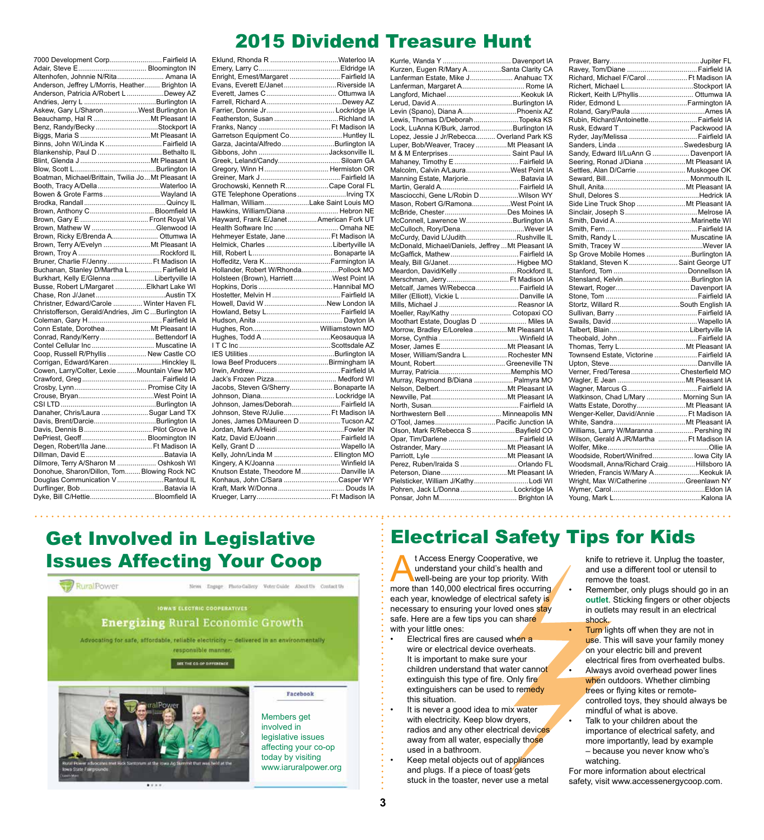### 2015 Dividend Treasure Hunt

| 7000 Development Corp Fairfield IA                   |  |  |  |  |
|------------------------------------------------------|--|--|--|--|
|                                                      |  |  |  |  |
| Altenhofen, Johnnie N/Rita Amana IA                  |  |  |  |  |
| Anderson, Jeffrey L/Morris, Heather Brighton IA      |  |  |  |  |
| Anderson, Patricia A/Robert L Dewey AZ               |  |  |  |  |
|                                                      |  |  |  |  |
| Askew, Gary L/SharonWest Burlington IA               |  |  |  |  |
| Beauchamp, Hal R Mt Pleasant IA                      |  |  |  |  |
|                                                      |  |  |  |  |
| Benz, Randy/Becky Stockport IA                       |  |  |  |  |
|                                                      |  |  |  |  |
| Binns, John W/Linda K  Fairfield IA                  |  |  |  |  |
| Blankenship, Paul D Bethalto IL                      |  |  |  |  |
|                                                      |  |  |  |  |
|                                                      |  |  |  |  |
| Boatman, Michael/Brittain, Twilia JoMt Pleasant IA   |  |  |  |  |
| Booth, Tracy A/DellaWaterloo IA                      |  |  |  |  |
| Bowen & Grote Farms Wayland IA                       |  |  |  |  |
|                                                      |  |  |  |  |
| Brown, Anthony C Bloomfield IA                       |  |  |  |  |
| Brown, Gary E  Front Royal VA                        |  |  |  |  |
| Brown, Mathew W Glenwood IA                          |  |  |  |  |
| Brown, Ricky E/Brenda A Ottumwa IA                   |  |  |  |  |
| Brown, Terry A/Evelyn  Mt Pleasant IA                |  |  |  |  |
|                                                      |  |  |  |  |
| Bruner, Charlie F/Jenny Ft Madison IA                |  |  |  |  |
| Buchanan, Stanley D/Martha L Fairfield IA            |  |  |  |  |
|                                                      |  |  |  |  |
| Burkhart, Kelly E/Glenna Libertyville IA             |  |  |  |  |
| Busse, Robert L/Margaret  Elkhart Lake WI            |  |  |  |  |
|                                                      |  |  |  |  |
| Christner, Edward/Carole  Winter Haven FL            |  |  |  |  |
| Christofferson, Gerald/Andries, Jim C  Burlington IA |  |  |  |  |
|                                                      |  |  |  |  |
| Conn Estate, Dorothea Mt Pleasant IA                 |  |  |  |  |
| Conrad, Randy/Kerry Bettendorf IA                    |  |  |  |  |
|                                                      |  |  |  |  |
| Coop, Russell R/Phyllis  New Castle CO               |  |  |  |  |
| Corrigan, Edward/KarenHinckley IL                    |  |  |  |  |
| Cowen, Larry/Colter, Lexie Mountain View MO          |  |  |  |  |
|                                                      |  |  |  |  |
|                                                      |  |  |  |  |
|                                                      |  |  |  |  |
|                                                      |  |  |  |  |
| Danaher, Chris/Laura  Sugar Land TX                  |  |  |  |  |
|                                                      |  |  |  |  |
| Davis, Brent/DarcieBurlington IA                     |  |  |  |  |
| Davis, Dennis B Pilot Grove IA                       |  |  |  |  |
| DePriest, Geoff Bloomington IN                       |  |  |  |  |
| Degen, Robert/Ila Jane Ft Madison IA                 |  |  |  |  |
|                                                      |  |  |  |  |
| Dilmore, Terry A/Sharon M  Oshkosh WI                |  |  |  |  |
| Donohue, Sharon/Dillon, Tom Blowing Rock NC          |  |  |  |  |
| Douglas Communication V Rantoul IL                   |  |  |  |  |
|                                                      |  |  |  |  |
| Dyke, Bill C/Hettie Bloomfield IA                    |  |  |  |  |
|                                                      |  |  |  |  |

| Eklund, Rhonda R Waterloo IA            |  |
|-----------------------------------------|--|
|                                         |  |
| Enright, Ernest/Margaret  Fairfield IA  |  |
| Evans, Everett E/JanetRiverside IA      |  |
|                                         |  |
|                                         |  |
| Farrier, Donnie Jr Lockridge IA         |  |
| Featherston, Susan Richland IA          |  |
|                                         |  |
| Garretson Equipment Co Huntley IL       |  |
| Garza, Jacinta/Alfredo Burlington IA    |  |
| Gibbons, John Jacksonville IL           |  |
| Greek, Leland/Candy Siloam GA           |  |
| Gregory, Winn H Hermiston OR            |  |
|                                         |  |
| Grochowski, Kenneth RCape Coral FL      |  |
| GTE Telephone OperationsIrving TX       |  |
| Hallman, WilliamLake Saint Louis MO     |  |
| Hawkins, William/Diana Hebron NE        |  |
| Hayward, Frank E/JanetAmerican Fork UT  |  |
|                                         |  |
| Health Software Inc  Omaha NE           |  |
| Hehmeyer Estate, Jane Ft Madison IA     |  |
| Helmick, Charles Libertyville IA        |  |
|                                         |  |
| Hoffeditz, Vera KFarmington IA          |  |
| Hollander, Robert W/RhondaPollock MO    |  |
| Holsteen (Brown), HarriettWest Point IA |  |
|                                         |  |
|                                         |  |
| Howell, David W New London IA           |  |
|                                         |  |
|                                         |  |
| Hughes, Ron Williamstown MO             |  |
|                                         |  |
|                                         |  |
|                                         |  |
| Iowa Beef Producers Birmingham IA       |  |
|                                         |  |
| Jack's Frozen Pizza Medford WI          |  |
| Jacobs, Steven G/Sherry Bonaparte IA    |  |
|                                         |  |
| Johnson, James/Deborah Fairfield IA     |  |
| Johnson, Steve R/Julie Ft Madison IA    |  |
| Jones, James D/Maureen D Tucson AZ      |  |
|                                         |  |
| Katz, David E/JoannFairfield IA         |  |
|                                         |  |
| Kelly, John/Linda M  Ellington MO       |  |
| Kingery, A K/Joanna  Winfield IA        |  |
| Knutson Estate, Theodore M Danville IA  |  |
| Konhaus, John C/Sara Casper WY          |  |
|                                         |  |
|                                         |  |
|                                         |  |

| Kurzen, Eugen R/Mary A Santa Clarity CA            |  |
|----------------------------------------------------|--|
| Lanferman Estate, Mike J Anahuac TX                |  |
| Lanferman, Margaret A Rome IA                      |  |
|                                                    |  |
|                                                    |  |
| Levin (Spano), Diana APhoenix AZ                   |  |
| Lewis, Thomas D/Deborah Topeka KS                  |  |
| Lock, LuAnna K/Burk, JarrodBurlington IA           |  |
| Lopez, Jessie J Jr/Rebecca Overland Park KS        |  |
| Luper, Bob/Weaver, Tracey Mt Pleasant IA           |  |
| M & M Enterprises  Saint Paul IA                   |  |
| Mahaney, Timothy E  Fairfield IA                   |  |
| Malcolm, Calvin A/LauraWest Point IA               |  |
| Manning Estate, MarjorieBatavia IA                 |  |
|                                                    |  |
| Masciocchi, Gene L/Robin DWilson WY                |  |
| Mason, Robert G/RamonaWest Point IA                |  |
|                                                    |  |
| McBride, ChesterDes Moines IA                      |  |
| McConnell, Lawrence WBurlington IA                 |  |
|                                                    |  |
| McCurdy, David L/JudithRushville IL                |  |
| McDonald, Michael/Daniels, Jeffrey  Mt Pleasant IA |  |
| McGaffick, Mathew Fairfield IA                     |  |
| Mealy, Bill G/JanetHigbee MO                       |  |
| Meardon, David/Kelly Rockford IL                   |  |
| Merschman, Jerry Ft Madison IA                     |  |
| Metcalf, James W/Rebecca Fairfield IA              |  |
| Miller (Elliott), Vickie L  Danville IA            |  |
|                                                    |  |
| Moeller, Ray/Kathy  Cotopaxi CO                    |  |
| Moothart Estate, Douglas D  Miles IA               |  |
| Morrow, Bradley E/Lorelea  Mt Pleasant IA          |  |
|                                                    |  |
|                                                    |  |
| Moser, William/Sandra L Rochester MN               |  |
|                                                    |  |
|                                                    |  |
| Murray, Raymond B/Diana  Palmyra MO                |  |
|                                                    |  |
|                                                    |  |
|                                                    |  |
| Northwestern Bell  Minneapolis MN                  |  |
| O'Tool, James Pacific Junction IA                  |  |
| Olson, Mark R/Rebecca S  Bayfield CO               |  |
|                                                    |  |
|                                                    |  |
|                                                    |  |
|                                                    |  |
| Perez, Ruben/Iraida S  Orlando FL                  |  |
|                                                    |  |
| Pielsticker, William J/KathyLodi WI                |  |
| Pohren, Jack L/Donna  Lockridge IA                 |  |
|                                                    |  |

| Richard, Michael F/Carol Ft Madison IA     |  |  |  |  |
|--------------------------------------------|--|--|--|--|
| Richert, Michael LStockport IA             |  |  |  |  |
| Rickert, Keith L/Phyllis Ottumwa IA        |  |  |  |  |
|                                            |  |  |  |  |
|                                            |  |  |  |  |
| Rubin, Richard/Antoinette Fairfield IA     |  |  |  |  |
|                                            |  |  |  |  |
| Ryder, Jay/Melissa  Fairfield IA           |  |  |  |  |
| Sanders, Linda Swedesburg IA               |  |  |  |  |
| Sandy, Edward II/LuAnn G  Davenport IA     |  |  |  |  |
| Seering, Ronad J/Diana  Mt Pleasant IA     |  |  |  |  |
| Settles, Alan D/Carrie  Muskogee OK        |  |  |  |  |
|                                            |  |  |  |  |
|                                            |  |  |  |  |
|                                            |  |  |  |  |
| Side Line Truck Shop  Mt Pleasant IA       |  |  |  |  |
|                                            |  |  |  |  |
|                                            |  |  |  |  |
|                                            |  |  |  |  |
|                                            |  |  |  |  |
|                                            |  |  |  |  |
| Sp Grove Mobile Homes Burlington IA        |  |  |  |  |
| Stakland, Steven K Saint George UT         |  |  |  |  |
|                                            |  |  |  |  |
|                                            |  |  |  |  |
|                                            |  |  |  |  |
|                                            |  |  |  |  |
| Stortz, Willard RSouth English IA          |  |  |  |  |
|                                            |  |  |  |  |
|                                            |  |  |  |  |
|                                            |  |  |  |  |
|                                            |  |  |  |  |
|                                            |  |  |  |  |
| Townsend Estate, Victorine  Fairfield IA   |  |  |  |  |
|                                            |  |  |  |  |
| Verner, Fred/Teresa  Chesterfield MO       |  |  |  |  |
|                                            |  |  |  |  |
|                                            |  |  |  |  |
| Watkinson, Chad L/Mary  Morning Sun IA     |  |  |  |  |
|                                            |  |  |  |  |
| Wenger-Keller, David/Annie  Ft Madison IA  |  |  |  |  |
|                                            |  |  |  |  |
| Williams, Larry W/Maranna  Pershing IN     |  |  |  |  |
| Wilson, Gerald A JR/Martha  Ft Madison IA  |  |  |  |  |
|                                            |  |  |  |  |
| Woodside, Robert/Winifred lowa City IA     |  |  |  |  |
| Woodsmall, Anna/Richard Craig Hillsboro IA |  |  |  |  |
|                                            |  |  |  |  |
| Wright, Max W/Catherine Greenlawn NY       |  |  |  |  |
|                                            |  |  |  |  |
|                                            |  |  |  |  |
|                                            |  |  |  |  |

### Get Involved in Legislative Issues Affecting Your Coop



### Electrical Safety Tips for Kids

t Access Energy Cooperative, we<br>
understand your child's health and<br>
well-being are your top priority. With<br>
more than 140,000 electrical fires occurring understand your child's health and more than 140,000 electrical fires occurring each year, knowledge of electrical safety is necessary to ensuring your loved ones stay safe. Here are a few tips you can share with your little ones:

- Electrical fires are caused when a wire or electrical device overheats. It is important to make sure your children understand that water cannot extinguish this type of fire. Only fire extinguishers can be used to remedy this situation.
- It is never a good idea to mix water with electricity. Keep blow dryers, radios and any other electrical devices away from all water, especially those used in a bathroom.
- Keep metal objects out of appliances and plugs. If a piece of toast gets stuck in the toaster, never use a metal

knife to retrieve it. Unplug the toaster, and use a different tool or utensil to remove the toast.

- Remember, only plugs should go in an **outlet**. Sticking fingers or other objects in outlets may result in an electrical shock.
- **Turn** lights off when they are not in use. This will save your family money on your electric bill and prevent electrical fires from overheated bulbs.
- Always avoid overhead power lines when outdoors. Whether climbing trees or flying kites or remotecontrolled toys, they should always be mindful of what is above.
- Talk to your children about the importance of electrical safety, and more importantly, lead by example – because you never know who's watching.

For more information about electrical safety, visit www.accessenergycoop.com.